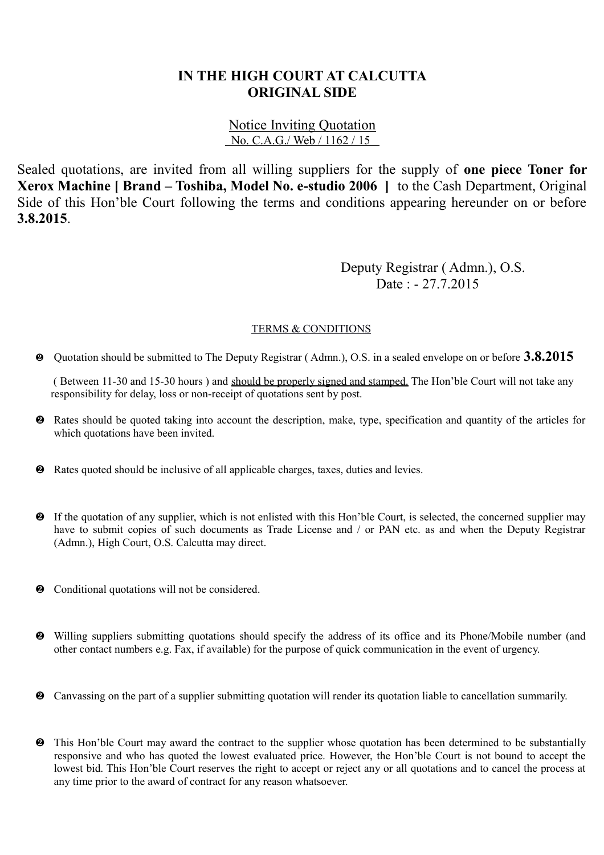## **IN THE HIGH COURT AT CALCUTTA ORIGINAL SIDE**

## Notice Inviting Quotation No. C.A.G./ Web / 1162 / 15

Sealed quotations, are invited from all willing suppliers for the supply of **one piece Toner for Xerox Machine [ Brand – Toshiba, Model No. e-studio 2006 ]** to the Cash Department, Original Side of this Hon'ble Court following the terms and conditions appearing hereunder on or before **3.8.2015**.

> Deputy Registrar ( Admn.), O.S. Date : - 27.7.2015

## TERMS & CONDITIONS

Quotation should be submitted to The Deputy Registrar ( Admn.), O.S. in a sealed envelope on or before **3.8.2015**

 ( Between 11-30 and 15-30 hours ) and should be properly signed and stamped. The Hon'ble Court will not take any responsibility for delay, loss or non-receipt of quotations sent by post.

- Rates should be quoted taking into account the description, make, type, specification and quantity of the articles for which quotations have been invited.
- Rates quoted should be inclusive of all applicable charges, taxes, duties and levies.
- If the quotation of any supplier, which is not enlisted with this Hon'ble Court, is selected, the concerned supplier may have to submit copies of such documents as Trade License and / or PAN etc. as and when the Deputy Registrar (Admn.), High Court, O.S. Calcutta may direct.
- $\bullet$  Conditional quotations will not be considered.
- Willing suppliers submitting quotations should specify the address of its office and its Phone/Mobile number (and other contact numbers e.g. Fax, if available) for the purpose of quick communication in the event of urgency.
- Canvassing on the part of a supplier submitting quotation will render its quotation liable to cancellation summarily.
- $\bullet$  This Hon'ble Court may award the contract to the supplier whose quotation has been determined to be substantially responsive and who has quoted the lowest evaluated price. However, the Hon'ble Court is not bound to accept the lowest bid. This Hon'ble Court reserves the right to accept or reject any or all quotations and to cancel the process at any time prior to the award of contract for any reason whatsoever.